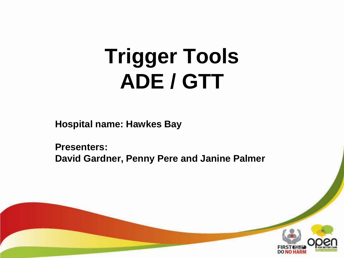# **Trigger Tools ADE / GTT**

**Hospital name: Hawkes Bay** 

**Presenters: David Gardner, Penny Pere and Janine Palmer**

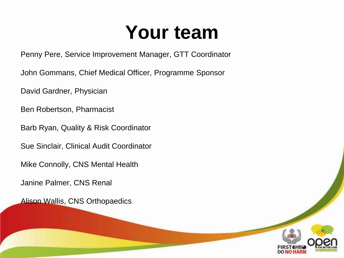#### **Your team**

Penny Pere, Service Improvement Manager, GTT Coordinator

John Gommans, Chief Medical Officer, Programme Sponsor

David Gardner, Physician

Ben Robertson, Pharmacist

Barb Ryan, Quality & Risk Coordinator

Sue Sinclair, Clinical Audit Coordinator

Mike Connolly, CNS Mental Health

Janine Palmer, CNS Renal

Alison Wallis, CNS Orthopaedics

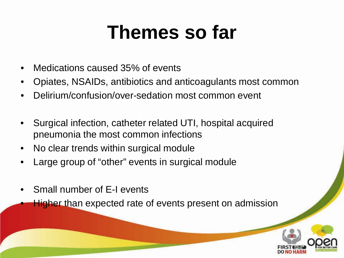#### **Themes so far**

- Medications caused 35% of events
- Opiates, NSAIDs, antibiotics and anticoagulants most common
- Delirium/confusion/over-sedation most common event
- Surgical infection, catheter related UTI, hospital acquired pneumonia the most common infections
- No clear trends within surgical module
- Large group of "other" events in surgical module
- Small number of E-I events
	- **Higher than expected rate of events present on admission**

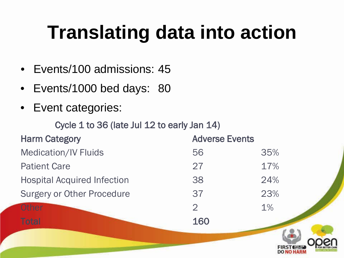## **Translating data into action**

- Events/100 admissions: 45
- Events/1000 bed days: 80
- Event categories:

Cycle 1 to 36 (late Jul 12 to early Jan 14)

| <b>Harm Category</b>               | <b>Adverse Events</b> |       |
|------------------------------------|-----------------------|-------|
| <b>Medication/IV Fluids</b>        | 56                    | 35%   |
| <b>Patient Care</b>                | 27                    | 17%   |
| <b>Hospital Acquired Infection</b> | 38                    | 24%   |
| <b>Surgery or Other Procedure</b>  | 37                    | 23%   |
| Other                              | $\mathcal{P}$         | $1\%$ |
| <b>Total</b>                       | 160                   |       |

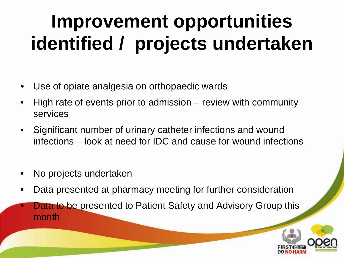## **Improvement opportunities identified / projects undertaken**

- Use of opiate analgesia on orthopaedic wards
- High rate of events prior to admission review with community services
- Significant number of urinary catheter infections and wound infections – look at need for IDC and cause for wound infections
- No projects undertaken
- Data presented at pharmacy meeting for further consideration
- **Data to be presented to Patient Safety and Advisory Group this** month

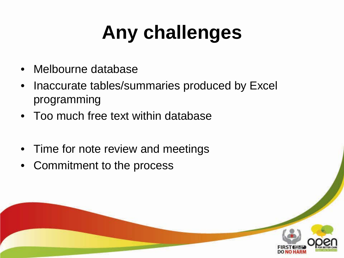# **Any challenges**

- Melbourne database
- Inaccurate tables/summaries produced by Excel programming
- Too much free text within database
- Time for note review and meetings
- Commitment to the process

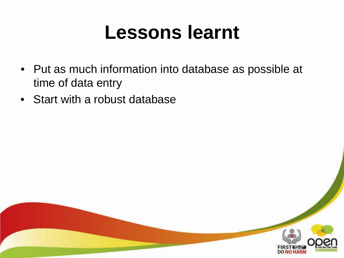#### **Lessons learnt**

- Put as much information into database as possible at time of data entry
- Start with a robust database

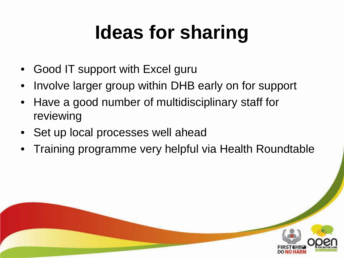# **Ideas for sharing**

- Good IT support with Excel guru
- Involve larger group within DHB early on for support
- Have a good number of multidisciplinary staff for reviewing
- Set up local processes well ahead
- Training programme very helpful via Health Roundtable